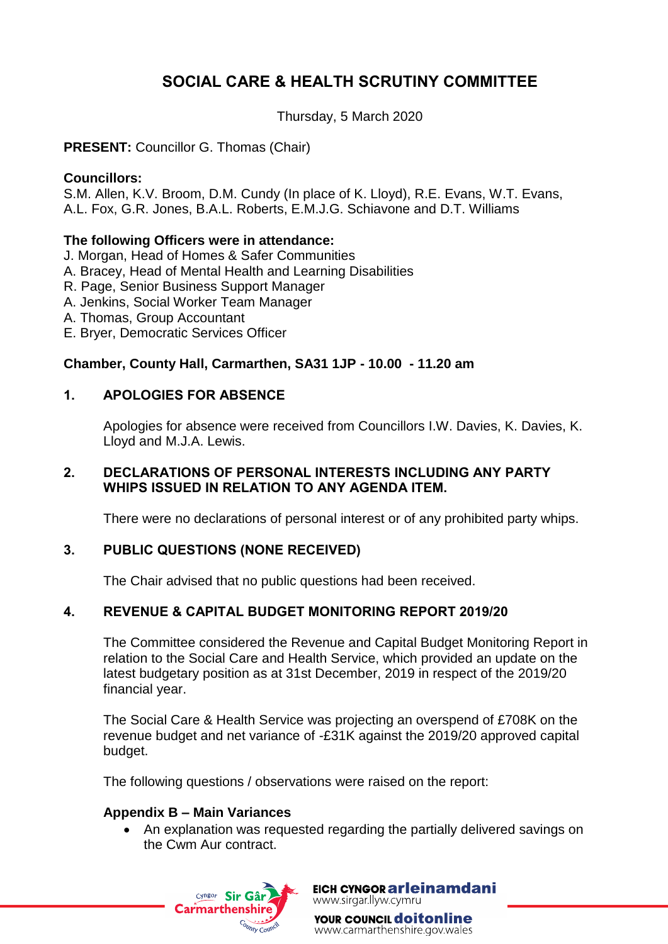# **SOCIAL CARE & HEALTH SCRUTINY COMMITTEE**

Thursday, 5 March 2020

**PRESENT:** Councillor G. Thomas (Chair)

#### **Councillors:**

S.M. Allen, K.V. Broom, D.M. Cundy (In place of K. Lloyd), R.E. Evans, W.T. Evans, A.L. Fox, G.R. Jones, B.A.L. Roberts, E.M.J.G. Schiavone and D.T. Williams

#### **The following Officers were in attendance:**

- J. Morgan, Head of Homes & Safer Communities
- A. Bracey, Head of Mental Health and Learning Disabilities
- R. Page, Senior Business Support Manager
- A. Jenkins, Social Worker Team Manager
- A. Thomas, Group Accountant
- E. Bryer, Democratic Services Officer

## **Chamber, County Hall, Carmarthen, SA31 1JP - 10.00 - 11.20 am**

## **1. APOLOGIES FOR ABSENCE**

Apologies for absence were received from Councillors I.W. Davies, K. Davies, K. Lloyd and M.J.A. Lewis.

#### **2. DECLARATIONS OF PERSONAL INTERESTS INCLUDING ANY PARTY WHIPS ISSUED IN RELATION TO ANY AGENDA ITEM.**

There were no declarations of personal interest or of any prohibited party whips.

## **3. PUBLIC QUESTIONS (NONE RECEIVED)**

The Chair advised that no public questions had been received.

## **4. REVENUE & CAPITAL BUDGET MONITORING REPORT 2019/20**

The Committee considered the Revenue and Capital Budget Monitoring Report in relation to the Social Care and Health Service, which provided an update on the latest budgetary position as at 31st December, 2019 in respect of the 2019/20 financial year.

The Social Care & Health Service was projecting an overspend of £708K on the revenue budget and net variance of -£31K against the 2019/20 approved capital budget.

The following questions / observations were raised on the report:

#### **Appendix B – Main Variances**

 An explanation was requested regarding the partially delivered savings on the Cwm Aur contract.



EICH CYNGOR arleinamdani www.sirgar.llyw.cymru

YOUR COUNCIL **doitonline** www.carmarthenshire.gov.wales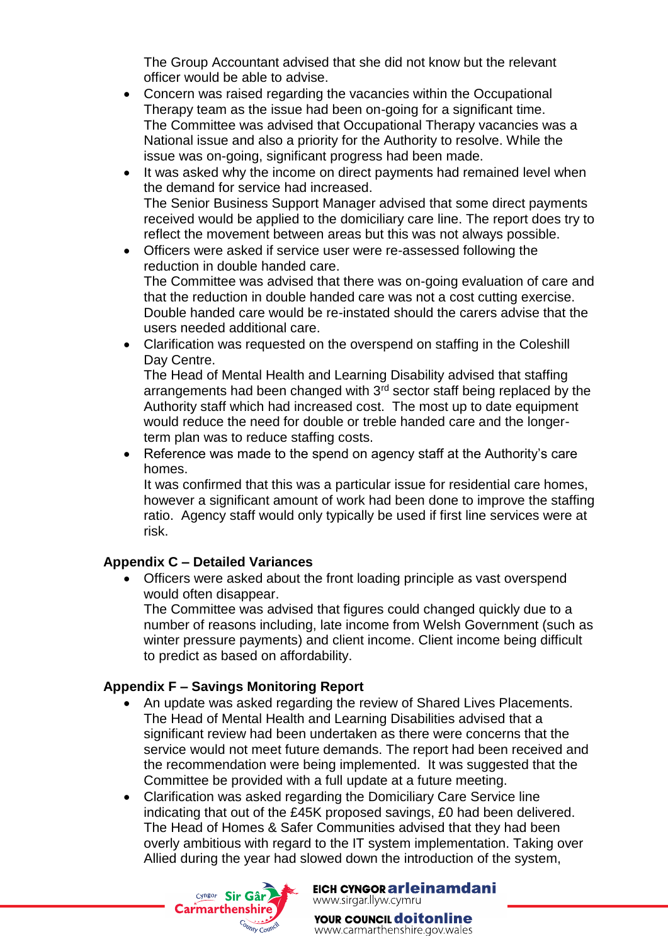The Group Accountant advised that she did not know but the relevant officer would be able to advise.

- Concern was raised regarding the vacancies within the Occupational Therapy team as the issue had been on-going for a significant time. The Committee was advised that Occupational Therapy vacancies was a National issue and also a priority for the Authority to resolve. While the issue was on-going, significant progress had been made.
- It was asked why the income on direct payments had remained level when the demand for service had increased. The Senior Business Support Manager advised that some direct payments received would be applied to the domiciliary care line. The report does try to reflect the movement between areas but this was not always possible.
- Officers were asked if service user were re-assessed following the reduction in double handed care. The Committee was advised that there was on-going evaluation of care and that the reduction in double handed care was not a cost cutting exercise. Double handed care would be re-instated should the carers advise that the users needed additional care.
- Clarification was requested on the overspend on staffing in the Coleshill Day Centre.

The Head of Mental Health and Learning Disability advised that staffing arrangements had been changed with  $3<sup>rd</sup>$  sector staff being replaced by the Authority staff which had increased cost. The most up to date equipment would reduce the need for double or treble handed care and the longerterm plan was to reduce staffing costs.

 Reference was made to the spend on agency staff at the Authority's care homes.

It was confirmed that this was a particular issue for residential care homes, however a significant amount of work had been done to improve the staffing ratio. Agency staff would only typically be used if first line services were at risk.

## **Appendix C – Detailed Variances**

 Officers were asked about the front loading principle as vast overspend would often disappear.

The Committee was advised that figures could changed quickly due to a number of reasons including, late income from Welsh Government (such as winter pressure payments) and client income. Client income being difficult to predict as based on affordability.

## **Appendix F – Savings Monitoring Report**

- An update was asked regarding the review of Shared Lives Placements. The Head of Mental Health and Learning Disabilities advised that a significant review had been undertaken as there were concerns that the service would not meet future demands. The report had been received and the recommendation were being implemented. It was suggested that the Committee be provided with a full update at a future meeting.
- Clarification was asked regarding the Domiciliary Care Service line indicating that out of the £45K proposed savings, £0 had been delivered. The Head of Homes & Safer Communities advised that they had been overly ambitious with regard to the IT system implementation. Taking over Allied during the year had slowed down the introduction of the system,



EICH CYNGOR arleinamdani www.sirgar.llyw.cymru

YOUR COUNCIL **doitonline** www.carmarthenshire.gov.wales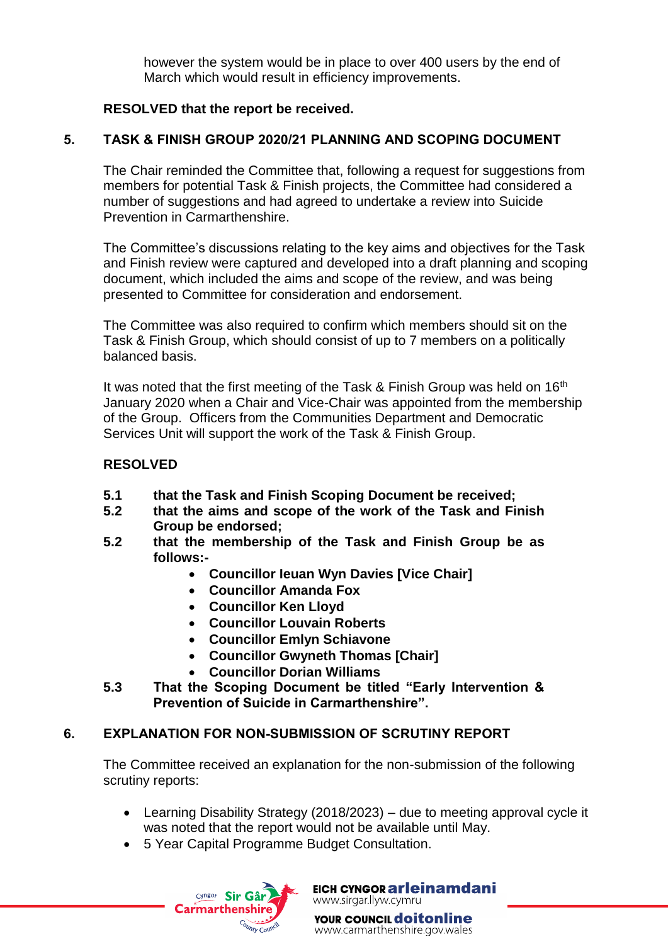however the system would be in place to over 400 users by the end of March which would result in efficiency improvements.

#### **RESOLVED that the report be received.**

## **5. TASK & FINISH GROUP 2020/21 PLANNING AND SCOPING DOCUMENT**

The Chair reminded the Committee that, following a request for suggestions from members for potential Task & Finish projects, the Committee had considered a number of suggestions and had agreed to undertake a review into Suicide Prevention in Carmarthenshire.

The Committee's discussions relating to the key aims and objectives for the Task and Finish review were captured and developed into a draft planning and scoping document, which included the aims and scope of the review, and was being presented to Committee for consideration and endorsement.

The Committee was also required to confirm which members should sit on the Task & Finish Group, which should consist of up to 7 members on a politically balanced basis.

It was noted that the first meeting of the Task & Finish Group was held on 16<sup>th</sup> January 2020 when a Chair and Vice-Chair was appointed from the membership of the Group. Officers from the Communities Department and Democratic Services Unit will support the work of the Task & Finish Group.

#### **RESOLVED**

- **5.1 that the Task and Finish Scoping Document be received;**
- **5.2 that the aims and scope of the work of the Task and Finish Group be endorsed;**
- **5.2 that the membership of the Task and Finish Group be as follows:-**
	- **Councillor Ieuan Wyn Davies [Vice Chair]**
	- **Councillor Amanda Fox**
	- **Councillor Ken Lloyd**
	- **Councillor Louvain Roberts**
	- **Councillor Emlyn Schiavone**
	- **Councillor Gwyneth Thomas [Chair]**
	- **Councillor Dorian Williams**
- **5.3 That the Scoping Document be titled "Early Intervention & Prevention of Suicide in Carmarthenshire".**

## **6. EXPLANATION FOR NON-SUBMISSION OF SCRUTINY REPORT**

The Committee received an explanation for the non-submission of the following scrutiny reports:

- Learning Disability Strategy (2018/2023) due to meeting approval cycle it was noted that the report would not be available until May.
- 5 Year Capital Programme Budget Consultation.



EICH CYNGOR arleinamdani www.sirgar.llyw.cymru

YOUR COUNCIL **doitonline** www.carmarthenshire.gov.wales